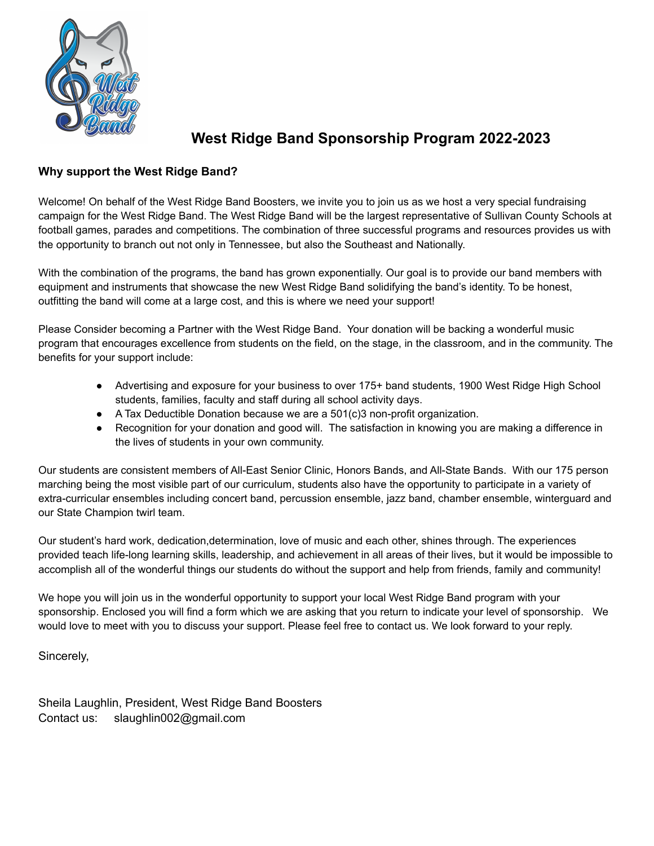

## **West Ridge Band Sponsorship Program 2022-2023**

## **Why support the West Ridge Band?**

Welcome! On behalf of the West Ridge Band Boosters, we invite you to join us as we host a very special fundraising campaign for the West Ridge Band. The West Ridge Band will be the largest representative of Sullivan County Schools at football games, parades and competitions. The combination of three successful programs and resources provides us with the opportunity to branch out not only in Tennessee, but also the Southeast and Nationally.

With the combination of the programs, the band has grown exponentially. Our goal is to provide our band members with equipment and instruments that showcase the new West Ridge Band solidifying the band's identity. To be honest, outfitting the band will come at a large cost, and this is where we need your support!

Please Consider becoming a Partner with the West Ridge Band. Your donation will be backing a wonderful music program that encourages excellence from students on the field, on the stage, in the classroom, and in the community. The benefits for your support include:

- Advertising and exposure for your business to over 175+ band students, 1900 West Ridge High School students, families, faculty and staff during all school activity days.
- $\bullet$  A Tax Deductible Donation because we are a 501(c)3 non-profit organization.
- Recognition for your donation and good will. The satisfaction in knowing you are making a difference in the lives of students in your own community.

Our students are consistent members of All-East Senior Clinic, Honors Bands, and All-State Bands. With our 175 person marching being the most visible part of our curriculum, students also have the opportunity to participate in a variety of extra-curricular ensembles including concert band, percussion ensemble, jazz band, chamber ensemble, winterguard and our State Champion twirl team.

Our student's hard work, dedication,determination, love of music and each other, shines through. The experiences provided teach life-long learning skills, leadership, and achievement in all areas of their lives, but it would be impossible to accomplish all of the wonderful things our students do without the support and help from friends, family and community!

We hope you will join us in the wonderful opportunity to support your local West Ridge Band program with your sponsorship. Enclosed you will find a form which we are asking that you return to indicate your level of sponsorship. We would love to meet with you to discuss your support. Please feel free to contact us. We look forward to your reply.

Sincerely,

Sheila Laughlin, President, West Ridge Band Boosters Contact us: slaughlin002@gmail.com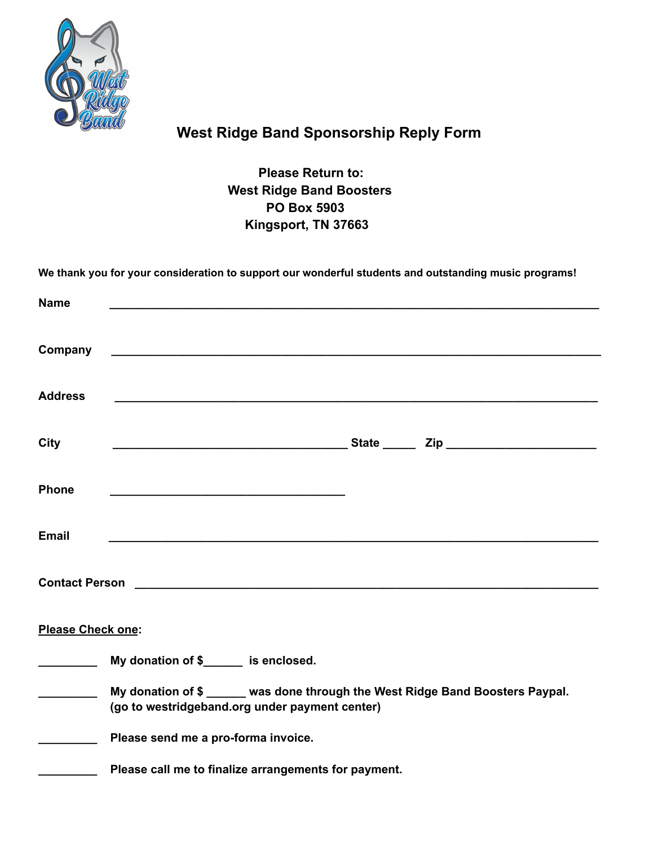

## **West Ridge Band Sponsorship Reply Form**

**Please Return to: West Ridge Band Boosters PO Box 5903 Kingsport, TN 37663**

|                                                                                                                                                                                                                                                                                                                                                                                                                                                                                        | We thank you for your consideration to support our wonderful students and outstanding music programs!                           |
|----------------------------------------------------------------------------------------------------------------------------------------------------------------------------------------------------------------------------------------------------------------------------------------------------------------------------------------------------------------------------------------------------------------------------------------------------------------------------------------|---------------------------------------------------------------------------------------------------------------------------------|
| <b>Name</b>                                                                                                                                                                                                                                                                                                                                                                                                                                                                            |                                                                                                                                 |
| Company                                                                                                                                                                                                                                                                                                                                                                                                                                                                                | and the control of the control of the control of the control of the control of the control of the control of the                |
| <b>Address</b>                                                                                                                                                                                                                                                                                                                                                                                                                                                                         |                                                                                                                                 |
| <b>City</b>                                                                                                                                                                                                                                                                                                                                                                                                                                                                            |                                                                                                                                 |
| <b>Phone</b>                                                                                                                                                                                                                                                                                                                                                                                                                                                                           |                                                                                                                                 |
| <b>Email</b>                                                                                                                                                                                                                                                                                                                                                                                                                                                                           |                                                                                                                                 |
|                                                                                                                                                                                                                                                                                                                                                                                                                                                                                        |                                                                                                                                 |
| Please Check one:                                                                                                                                                                                                                                                                                                                                                                                                                                                                      |                                                                                                                                 |
| $\begin{array}{cccccccccc} \multicolumn{3}{c}{} & \multicolumn{3}{c}{} & \multicolumn{3}{c}{} & \multicolumn{3}{c}{} & \multicolumn{3}{c}{} & \multicolumn{3}{c}{} & \multicolumn{3}{c}{} & \multicolumn{3}{c}{} & \multicolumn{3}{c}{} & \multicolumn{3}{c}{} & \multicolumn{3}{c}{} & \multicolumn{3}{c}{} & \multicolumn{3}{c}{} & \multicolumn{3}{c}{} & \multicolumn{3}{c}{} & \multicolumn{3}{c}{} & \multicolumn{3}{c}{} & \multicolumn{3}{c}{} & \multicolumn{3}{c}{} & \mult$ | My donation of \$______ is enclosed.                                                                                            |
|                                                                                                                                                                                                                                                                                                                                                                                                                                                                                        | My donation of \$ _____ was done through the West Ridge Band Boosters Paypal.<br>(go to westridgeband.org under payment center) |
|                                                                                                                                                                                                                                                                                                                                                                                                                                                                                        | Please send me a pro-forma invoice.                                                                                             |
|                                                                                                                                                                                                                                                                                                                                                                                                                                                                                        | Please call me to finalize arrangements for payment.                                                                            |